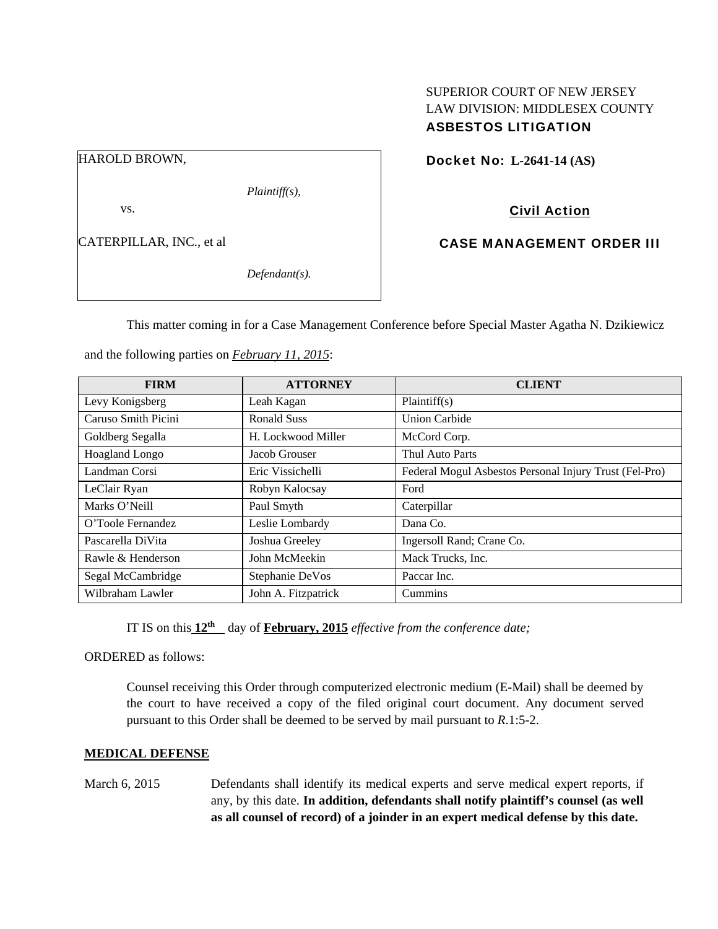## SUPERIOR COURT OF NEW JERSEY LAW DIVISION: MIDDLESEX COUNTY ASBESTOS LITIGATION

HAROLD BROWN,

*Plaintiff(s),* 

vs.

CATERPILLAR, INC., et al

*Defendant(s).* 

Docket No: **L-2641-14 (AS)** 

Civil Action

CASE MANAGEMENT ORDER III

This matter coming in for a Case Management Conference before Special Master Agatha N. Dzikiewicz

| <b>FIRM</b>         | <b>ATTORNEY</b>     | <b>CLIENT</b>                                          |
|---------------------|---------------------|--------------------------------------------------------|
| Levy Konigsberg     | Leah Kagan          | Plaintiff(s)                                           |
| Caruso Smith Picini | Ronald Suss         | <b>Union Carbide</b>                                   |
| Goldberg Segalla    | H. Lockwood Miller  | McCord Corp.                                           |
| Hoagland Longo      | Jacob Grouser       | Thul Auto Parts                                        |
| Landman Corsi       | Eric Vissichelli    | Federal Mogul Asbestos Personal Injury Trust (Fel-Pro) |
| LeClair Ryan        | Robyn Kalocsay      | Ford                                                   |
| Marks O'Neill       | Paul Smyth          | Caterpillar                                            |
| O'Toole Fernandez   | Leslie Lombardy     | Dana Co.                                               |
| Pascarella DiVita   | Joshua Greeley      | Ingersoll Rand; Crane Co.                              |
| Rawle & Henderson   | John McMeekin       | Mack Trucks, Inc.                                      |
| Segal McCambridge   | Stephanie DeVos     | Paccar Inc.                                            |
| Wilbraham Lawler    | John A. Fitzpatrick | Cummins                                                |

and the following parties on *February 11, 2015*:

IT IS on this  $12^{th}$  day of **February, 2015** *effective from the conference date;* 

ORDERED as follows:

Counsel receiving this Order through computerized electronic medium (E-Mail) shall be deemed by the court to have received a copy of the filed original court document. Any document served pursuant to this Order shall be deemed to be served by mail pursuant to *R*.1:5-2.

### **MEDICAL DEFENSE**

March 6, 2015 Defendants shall identify its medical experts and serve medical expert reports, if any, by this date. **In addition, defendants shall notify plaintiff's counsel (as well as all counsel of record) of a joinder in an expert medical defense by this date.**